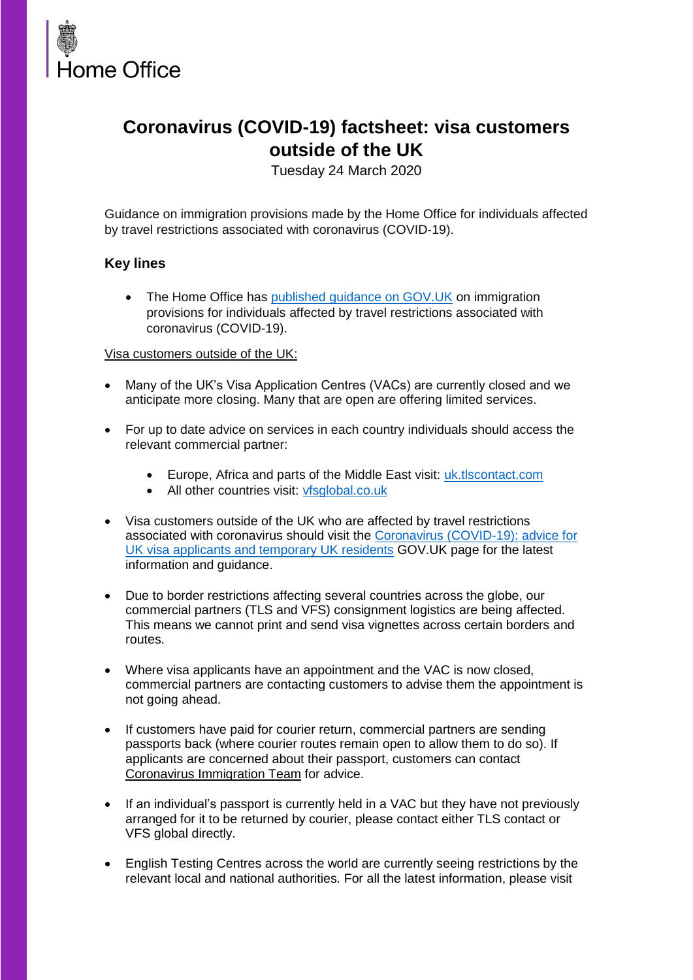

# **Coronavirus (COVID-19) factsheet: visa customers outside of the UK**

Tuesday 24 March 2020

Guidance on immigration provisions made by the Home Office for individuals affected by travel restrictions associated with coronavirus (COVID-19).

### **Key lines**

 The Home Office has [published guidance on GOV.UK](https://www.gov.uk/guidance/coronavirus-covid-19-advice-for-uk-visa-applicants-and-temporary-uk-residents) on immigration provisions for individuals affected by travel restrictions associated with coronavirus (COVID-19).

#### Visa customers outside of the UK:

- Many of the UK's Visa Application Centres (VACs) are currently closed and we anticipate more closing. Many that are open are offering limited services.
- For up to date advice on services in each country individuals should access the relevant commercial partner:
	- **Europe, Africa and parts of the Middle East visit: [uk.tlscontact.com](https://uk.tlscontact.com/)**
	- All other countries visit: vfsglobal.co.uk
- Visa customers outside of the UK who are affected by travel restrictions associated with coronavirus should visit the [Coronavirus \(COVID-19\): advice for](https://www.gov.uk/guidance/coronavirus-covid-19-advice-for-uk-visa-applicants-and-temporary-uk-residents)  [UK visa applicants and temporary UK residents](https://www.gov.uk/guidance/coronavirus-covid-19-advice-for-uk-visa-applicants-and-temporary-uk-residents) GOV.UK page for the latest information and guidance.
- Due to border restrictions affecting several countries across the globe, our commercial partners (TLS and VFS) consignment logistics are being affected. This means we cannot print and send visa vignettes across certain borders and routes.
- Where visa applicants have an appointment and the VAC is now closed, commercial partners are contacting customers to advise them the appointment is not going ahead.
- If customers have paid for courier return, commercial partners are sending passports back (where courier routes remain open to allow them to do so). If applicants are concerned about their passport, customers can contact [Coronavirus Immigration Team](mailto:CIH@homeoffice.gov.uk) for advice.
- If an individual's passport is currently held in a VAC but they have not previously arranged for it to be returned by courier, please contact either TLS contact or VFS global directly.
- English Testing Centres across the world are currently seeing restrictions by the relevant local and national authorities. For all the latest information, please visit